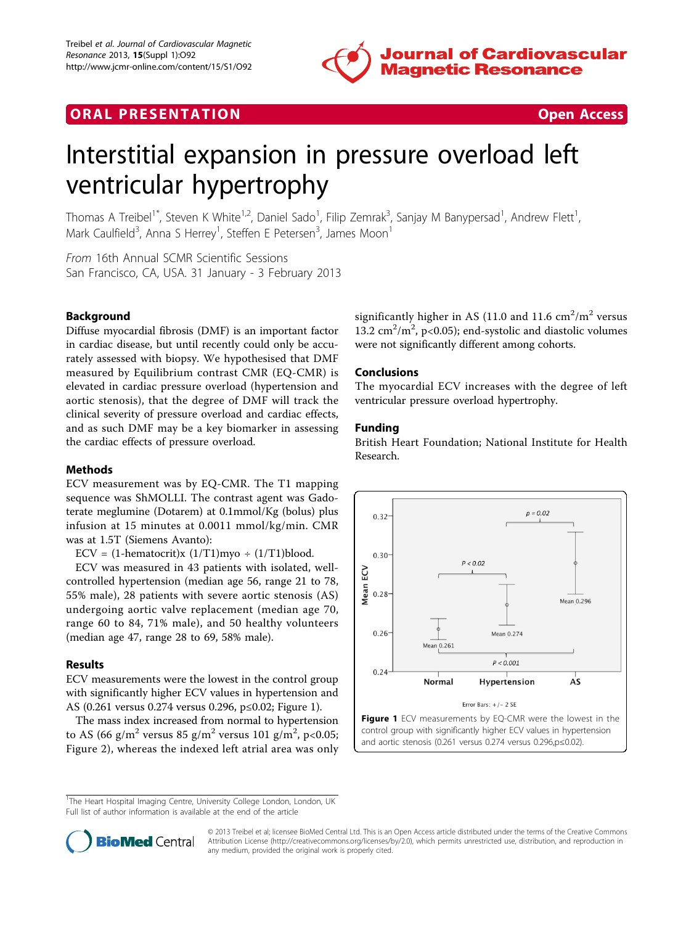

# **ORAL PRESENTATION CONSUMING A RESENTATION**



# Interstitial expansion in pressure overload left ventricular hypertrophy

Thomas A Treibel<sup>1\*</sup>, Steven K White<sup>1,2</sup>, Daniel Sado<sup>1</sup>, Filip Zemrak<sup>3</sup>, Sanjay M Banypersad<sup>1</sup>, Andrew Flett<sup>1</sup> , Mark Caulfield<sup>3</sup>, Anna S Herrey<sup>1</sup>, Steffen E Petersen<sup>3</sup>, James Moon<sup>1</sup>

From 16th Annual SCMR Scientific Sessions San Francisco, CA, USA. 31 January - 3 February 2013

## Background

Diffuse myocardial fibrosis (DMF) is an important factor in cardiac disease, but until recently could only be accurately assessed with biopsy. We hypothesised that DMF measured by Equilibrium contrast CMR (EQ-CMR) is elevated in cardiac pressure overload (hypertension and aortic stenosis), that the degree of DMF will track the clinical severity of pressure overload and cardiac effects, and as such DMF may be a key biomarker in assessing the cardiac effects of pressure overload.

### **Methods**

ECV measurement was by EQ-CMR. The T1 mapping sequence was ShMOLLI. The contrast agent was Gadoterate meglumine (Dotarem) at 0.1mmol/Kg (bolus) plus infusion at 15 minutes at 0.0011 mmol/kg/min. CMR was at 1.5T (Siemens Avanto):

ECV =  $(1$ -hematocrit)x  $(1/T1)$ myo ÷  $(1/T1)$ blood.

ECV was measured in 43 patients with isolated, wellcontrolled hypertension (median age 56, range 21 to 78, 55% male), 28 patients with severe aortic stenosis (AS) undergoing aortic valve replacement (median age 70, range 60 to 84, 71% male), and 50 healthy volunteers (median age 47, range 28 to 69, 58% male).

### Results

ECV measurements were the lowest in the control group with significantly higher ECV values in hypertension and AS (0.261 versus 0.274 versus 0.296, p≤0.02; Figure 1).

The mass index increased from normal to hypertension to AS (66 g/m $^2$  versus 85 g/m $^2$  versus 101 g/m $^2$ , p<0.05; Figure [2\)](#page-1-0), whereas the indexed left atrial area was only

significantly higher in AS (11.0 and 11.6  $\text{cm}^2/\text{m}^2$  versus 13.2  $\text{cm}^2/\text{m}^2$ , p<0.05); end-systolic and diastolic volumes were not significantly different among cohorts.

#### Conclusions

The myocardial ECV increases with the degree of left ventricular pressure overload hypertrophy.

#### Funding

British Heart Foundation; National Institute for Health Research.



<sup>&</sup>lt;sup>1</sup>The Heart Hospital Imaging Centre, University College London, London, UK Full list of author information is available at the end of the article



© 2013 Treibel et al; licensee BioMed Central Ltd. This is an Open Access article distributed under the terms of the Creative Commons Attribution License [\(http://creativecommons.org/licenses/by/2.0](http://creativecommons.org/licenses/by/2.0)), which permits unrestricted use, distribution, and reproduction in any medium, provided the original work is properly cited.